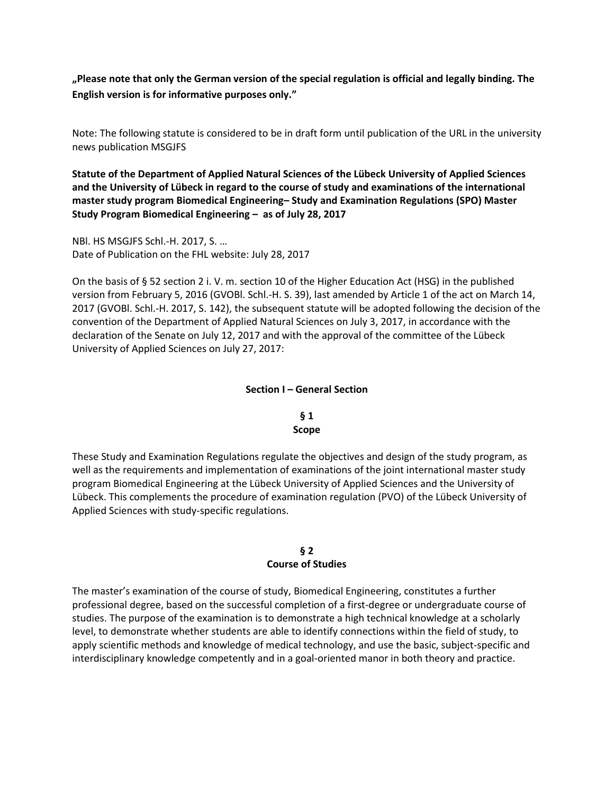**"Please note that only the German version of the special regulation is official and legally binding. The English version is for informative purposes only."**

Note: The following statute is considered to be in draft form until publication of the URL in the university news publication MSGJFS

**Statute of the Department of Applied Natural Sciences of the Lübeck University of Applied Sciences and the University of Lübeck in regard to the course of study and examinations of the international master study program Biomedical Engineering– Study and Examination Regulations (SPO) Master Study Program Biomedical Engineering – as of July 28, 2017**

NBl. HS MSGJFS Schl.-H. 2017, S. … Date of Publication on the FHL website: July 28, 2017

On the basis of § 52 section 2 i. V. m. section 10 of the Higher Education Act (HSG) in the published version from February 5, 2016 (GVOBl. Schl.-H. S. 39), last amended by Article 1 of the act on March 14, 2017 (GVOBl. Schl.-H. 2017, S. 142), the subsequent statute will be adopted following the decision of the convention of the Department of Applied Natural Sciences on July 3, 2017, in accordance with the declaration of the Senate on July 12, 2017 and with the approval of the committee of the Lübeck University of Applied Sciences on July 27, 2017:

### **Section I – General Section**

### **§ 1 Scope**

These Study and Examination Regulations regulate the objectives and design of the study program, as well as the requirements and implementation of examinations of the joint international master study program Biomedical Engineering at the Lübeck University of Applied Sciences and the University of Lübeck. This complements the procedure of examination regulation (PVO) of the Lübeck University of Applied Sciences with study-specific regulations.

### **§ 2 Course of Studies**

The master's examination of the course of study, Biomedical Engineering, constitutes a further professional degree, based on the successful completion of a first-degree or undergraduate course of studies. The purpose of the examination is to demonstrate a high technical knowledge at a scholarly level, to demonstrate whether students are able to identify connections within the field of study, to apply scientific methods and knowledge of medical technology, and use the basic, subject-specific and interdisciplinary knowledge competently and in a goal-oriented manor in both theory and practice.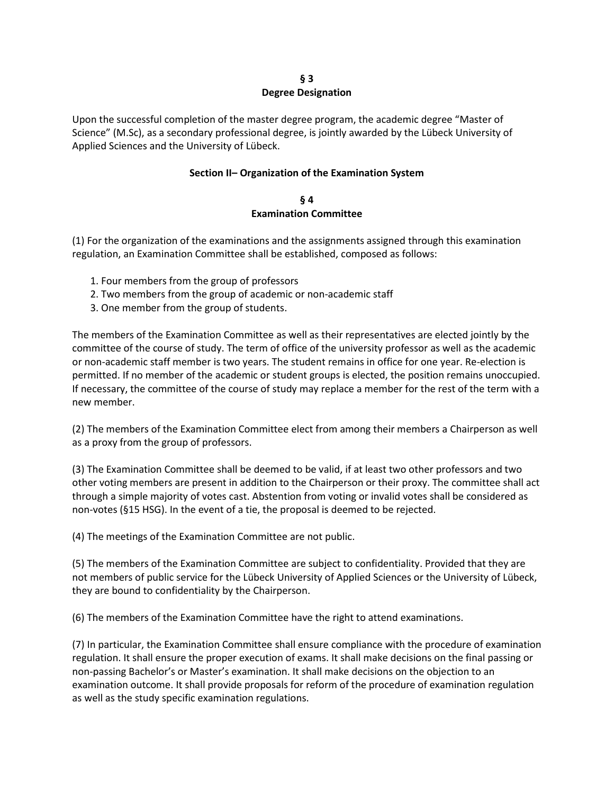#### **§ 3 Degree Designation**

Upon the successful completion of the master degree program, the academic degree "Master of Science" (M.Sc), as a secondary professional degree, is jointly awarded by the Lübeck University of Applied Sciences and the University of Lübeck.

## **Section II– Organization of the Examination System**

#### **§ 4 Examination Committee**

(1) For the organization of the examinations and the assignments assigned through this examination regulation, an Examination Committee shall be established, composed as follows:

- 1. Four members from the group of professors
- 2. Two members from the group of academic or non-academic staff
- 3. One member from the group of students.

The members of the Examination Committee as well as their representatives are elected jointly by the committee of the course of study. The term of office of the university professor as well as the academic or non-academic staff member is two years. The student remains in office for one year. Re-election is permitted. If no member of the academic or student groups is elected, the position remains unoccupied. If necessary, the committee of the course of study may replace a member for the rest of the term with a new member.

(2) The members of the Examination Committee elect from among their members a Chairperson as well as a proxy from the group of professors.

(3) The Examination Committee shall be deemed to be valid, if at least two other professors and two other voting members are present in addition to the Chairperson or their proxy. The committee shall act through a simple majority of votes cast. Abstention from voting or invalid votes shall be considered as non-votes (§15 HSG). In the event of a tie, the proposal is deemed to be rejected.

(4) The meetings of the Examination Committee are not public.

(5) The members of the Examination Committee are subject to confidentiality. Provided that they are not members of public service for the Lübeck University of Applied Sciences or the University of Lübeck, they are bound to confidentiality by the Chairperson.

(6) The members of the Examination Committee have the right to attend examinations.

(7) In particular, the Examination Committee shall ensure compliance with the procedure of examination regulation. It shall ensure the proper execution of exams. It shall make decisions on the final passing or non-passing Bachelor's or Master's examination. It shall make decisions on the objection to an examination outcome. It shall provide proposals for reform of the procedure of examination regulation as well as the study specific examination regulations.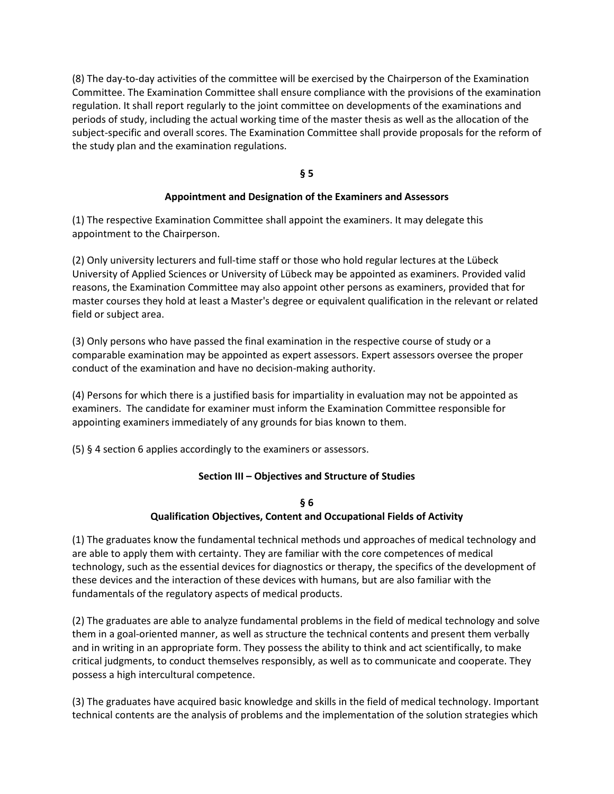(8) The day-to-day activities of the committee will be exercised by the Chairperson of the Examination Committee. The Examination Committee shall ensure compliance with the provisions of the examination regulation. It shall report regularly to the joint committee on developments of the examinations and periods of study, including the actual working time of the master thesis as well as the allocation of the subject-specific and overall scores. The Examination Committee shall provide proposals for the reform of the study plan and the examination regulations.

**§ 5** 

## **Appointment and Designation of the Examiners and Assessors**

(1) The respective Examination Committee shall appoint the examiners. It may delegate this appointment to the Chairperson.

(2) Only university lecturers and full-time staff or those who hold regular lectures at the Lübeck University of Applied Sciences or University of Lübeck may be appointed as examiners. Provided valid reasons, the Examination Committee may also appoint other persons as examiners, provided that for master courses they hold at least a Master's degree or equivalent qualification in the relevant or related field or subject area.

(3) Only persons who have passed the final examination in the respective course of study or a comparable examination may be appointed as expert assessors. Expert assessors oversee the proper conduct of the examination and have no decision-making authority.

(4) Persons for which there is a justified basis for impartiality in evaluation may not be appointed as examiners. The candidate for examiner must inform the Examination Committee responsible for appointing examiners immediately of any grounds for bias known to them.

(5) § 4 section 6 applies accordingly to the examiners or assessors.

## **Section III – Objectives and Structure of Studies**

## **§ 6 Qualification Objectives, Content and Occupational Fields of Activity**

(1) The graduates know the fundamental technical methods und approaches of medical technology and are able to apply them with certainty. They are familiar with the core competences of medical technology, such as the essential devices for diagnostics or therapy, the specifics of the development of these devices and the interaction of these devices with humans, but are also familiar with the fundamentals of the regulatory aspects of medical products.

(2) The graduates are able to analyze fundamental problems in the field of medical technology and solve them in a goal-oriented manner, as well as structure the technical contents and present them verbally and in writing in an appropriate form. They possess the ability to think and act scientifically, to make critical judgments, to conduct themselves responsibly, as well as to communicate and cooperate. They possess a high intercultural competence.

(3) The graduates have acquired basic knowledge and skills in the field of medical technology. Important technical contents are the analysis of problems and the implementation of the solution strategies which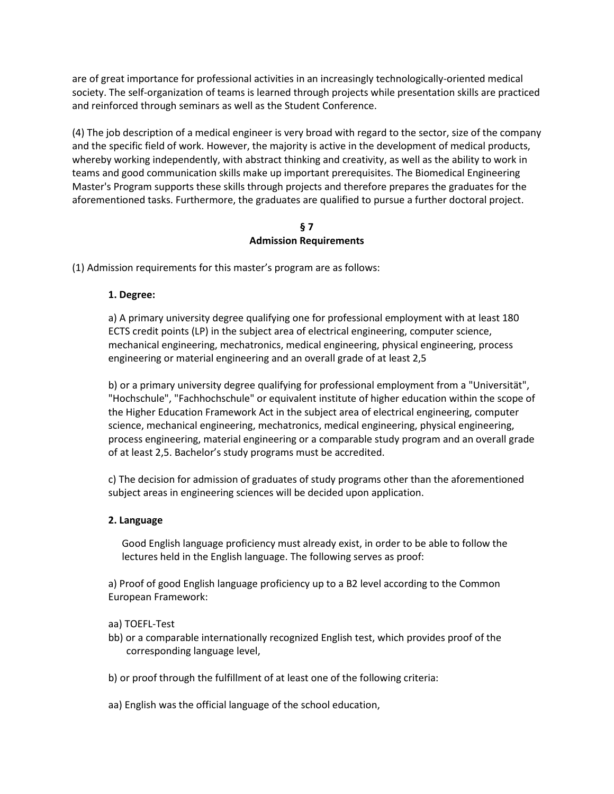are of great importance for professional activities in an increasingly technologically-oriented medical society. The self-organization of teams is learned through projects while presentation skills are practiced and reinforced through seminars as well as the Student Conference.

(4) The job description of a medical engineer is very broad with regard to the sector, size of the company and the specific field of work. However, the majority is active in the development of medical products, whereby working independently, with abstract thinking and creativity, as well as the ability to work in teams and good communication skills make up important prerequisites. The Biomedical Engineering Master's Program supports these skills through projects and therefore prepares the graduates for the aforementioned tasks. Furthermore, the graduates are qualified to pursue a further doctoral project.

### **§ 7 Admission Requirements**

(1) Admission requirements for this master's program are as follows:

## **1. Degree:**

a) A primary university degree qualifying one for professional employment with at least 180 ECTS credit points (LP) in the subject area of electrical engineering, computer science, mechanical engineering, mechatronics, medical engineering, physical engineering, process engineering or material engineering and an overall grade of at least 2,5

b) or a primary university degree qualifying for professional employment from a "Universität", "Hochschule", "Fachhochschule" or equivalent institute of higher education within the scope of the Higher Education Framework Act in the subject area of electrical engineering, computer science, mechanical engineering, mechatronics, medical engineering, physical engineering, process engineering, material engineering or a comparable study program and an overall grade of at least 2,5. Bachelor's study programs must be accredited.

c) The decision for admission of graduates of study programs other than the aforementioned subject areas in engineering sciences will be decided upon application.

# **2. Language**

Good English language proficiency must already exist, in order to be able to follow the lectures held in the English language. The following serves as proof:

a) Proof of good English language proficiency up to a B2 level according to the Common European Framework:

## aa) TOEFL-Test

- bb) or a comparable internationally recognized English test, which provides proof of the corresponding language level,
- b) or proof through the fulfillment of at least one of the following criteria:
- aa) English was the official language of the school education,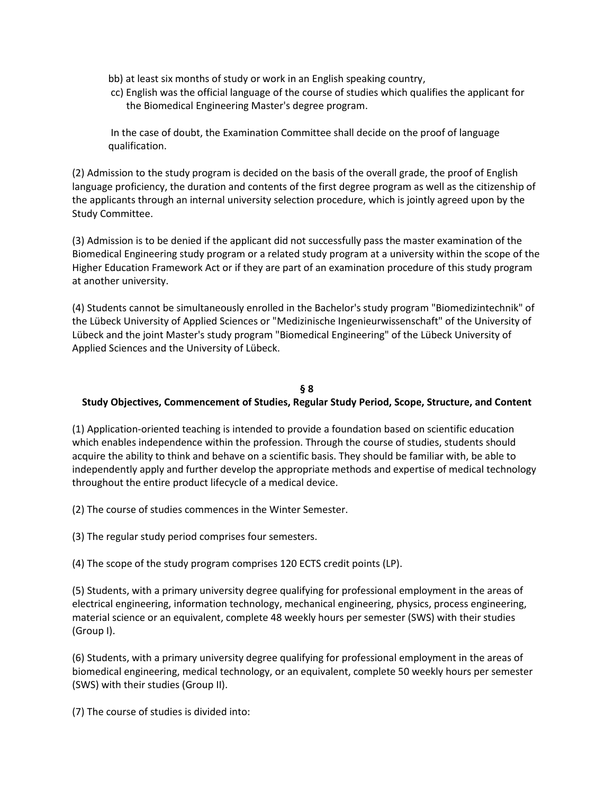- bb) at least six months of study or work in an English speaking country,
- cc) English was the official language of the course of studies which qualifies the applicant for the Biomedical Engineering Master's degree program.

In the case of doubt, the Examination Committee shall decide on the proof of language qualification.

(2) Admission to the study program is decided on the basis of the overall grade, the proof of English language proficiency, the duration and contents of the first degree program as well as the citizenship of the applicants through an internal university selection procedure, which is jointly agreed upon by the Study Committee.

(3) Admission is to be denied if the applicant did not successfully pass the master examination of the Biomedical Engineering study program or a related study program at a university within the scope of the Higher Education Framework Act or if they are part of an examination procedure of this study program at another university.

(4) Students cannot be simultaneously enrolled in the Bachelor's study program "Biomedizintechnik" of the Lübeck University of Applied Sciences or "Medizinische Ingenieurwissenschaft" of the University of Lübeck and the joint Master's study program "Biomedical Engineering" of the Lübeck University of Applied Sciences and the University of Lübeck.

## **§ 8**

## **Study Objectives, Commencement of Studies, Regular Study Period, Scope, Structure, and Content**

(1) Application-oriented teaching is intended to provide a foundation based on scientific education which enables independence within the profession. Through the course of studies, students should acquire the ability to think and behave on a scientific basis. They should be familiar with, be able to independently apply and further develop the appropriate methods and expertise of medical technology throughout the entire product lifecycle of a medical device.

(2) The course of studies commences in the Winter Semester.

(3) The regular study period comprises four semesters.

(4) The scope of the study program comprises 120 ECTS credit points (LP).

(5) Students, with a primary university degree qualifying for professional employment in the areas of electrical engineering, information technology, mechanical engineering, physics, process engineering, material science or an equivalent, complete 48 weekly hours per semester (SWS) with their studies (Group I).

(6) Students, with a primary university degree qualifying for professional employment in the areas of biomedical engineering, medical technology, or an equivalent, complete 50 weekly hours per semester (SWS) with their studies (Group II).

(7) The course of studies is divided into: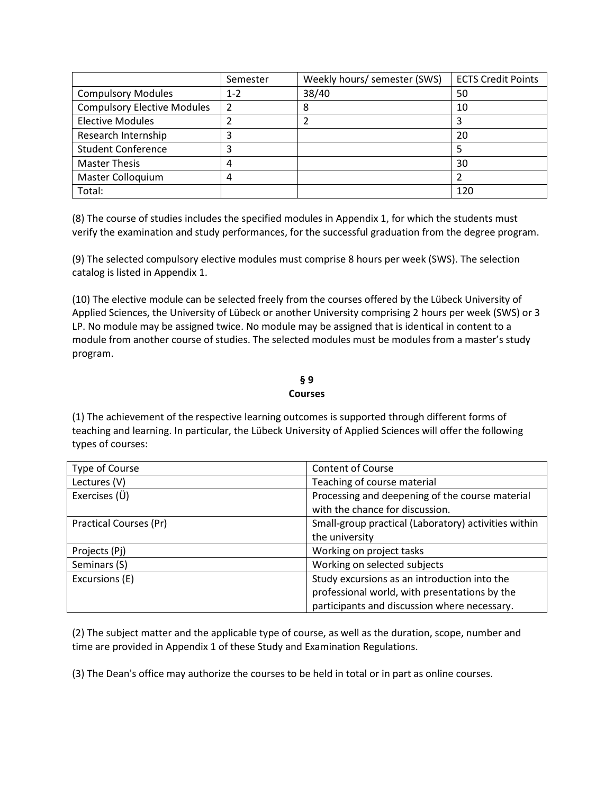|                                    | Semester | Weekly hours/ semester (SWS) | <b>ECTS Credit Points</b> |
|------------------------------------|----------|------------------------------|---------------------------|
| <b>Compulsory Modules</b>          | $1 - 2$  | 38/40                        | 50                        |
| <b>Compulsory Elective Modules</b> |          | 8                            | 10                        |
| <b>Elective Modules</b>            |          |                              |                           |
| Research Internship                |          |                              | 20                        |
| <b>Student Conference</b>          |          |                              |                           |
| <b>Master Thesis</b>               | 4        |                              | 30                        |
| Master Colloquium                  | 4        |                              |                           |
| Total:                             |          |                              | 120                       |

(8) The course of studies includes the specified modules in Appendix 1, for which the students must verify the examination and study performances, for the successful graduation from the degree program.

(9) The selected compulsory elective modules must comprise 8 hours per week (SWS). The selection catalog is listed in Appendix 1.

(10) The elective module can be selected freely from the courses offered by the Lübeck University of Applied Sciences, the University of Lübeck or another University comprising 2 hours per week (SWS) or 3 LP. No module may be assigned twice. No module may be assigned that is identical in content to a module from another course of studies. The selected modules must be modules from a master's study program.

#### **§ 9 Courses**

(1) The achievement of the respective learning outcomes is supported through different forms of teaching and learning. In particular, the Lübeck University of Applied Sciences will offer the following types of courses:

| Type of Course                | <b>Content of Course</b>                             |  |
|-------------------------------|------------------------------------------------------|--|
| Lectures (V)                  | Teaching of course material                          |  |
| Exercises (Ü)                 | Processing and deepening of the course material      |  |
|                               | with the chance for discussion.                      |  |
| <b>Practical Courses (Pr)</b> | Small-group practical (Laboratory) activities within |  |
|                               | the university                                       |  |
| Projects (Pj)                 | Working on project tasks                             |  |
| Seminars (S)                  | Working on selected subjects                         |  |
| Excursions (E)                | Study excursions as an introduction into the         |  |
|                               | professional world, with presentations by the        |  |
|                               | participants and discussion where necessary.         |  |

(2) The subject matter and the applicable type of course, as well as the duration, scope, number and time are provided in Appendix 1 of these Study and Examination Regulations.

(3) The Dean's office may authorize the courses to be held in total or in part as online courses.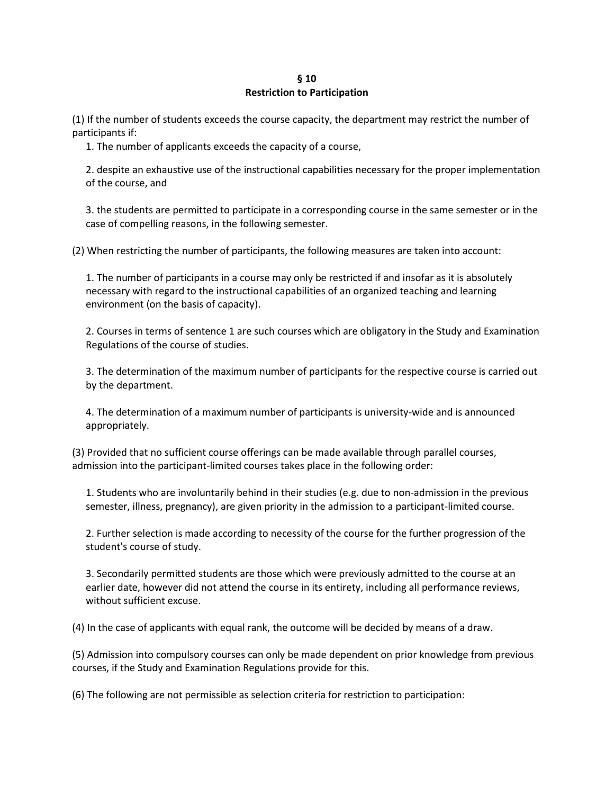### **§ 10 Restriction to Participation**

(1) If the number of students exceeds the course capacity, the department may restrict the number of participants if:

1. The number of applicants exceeds the capacity of a course,

2. despite an exhaustive use of the instructional capabilities necessary for the proper implementation of the course, and

3. the students are permitted to participate in a corresponding course in the same semester or in the case of compelling reasons, in the following semester.

(2) When restricting the number of participants, the following measures are taken into account:

1. The number of participants in a course may only be restricted if and insofar as it is absolutely necessary with regard to the instructional capabilities of an organized teaching and learning environment (on the basis of capacity).

2. Courses in terms of sentence 1 are such courses which are obligatory in the Study and Examination Regulations of the course of studies.

3. The determination of the maximum number of participants for the respective course is carried out by the department.

4. The determination of a maximum number of participants is university-wide and is announced appropriately.

(3) Provided that no sufficient course offerings can be made available through parallel courses, admission into the participant-limited courses takes place in the following order:

1. Students who are involuntarily behind in their studies (e.g. due to non-admission in the previous semester, illness, pregnancy), are given priority in the admission to a participant-limited course.

2. Further selection is made according to necessity of the course for the further progression of the student's course of study.

3. Secondarily permitted students are those which were previously admitted to the course at an earlier date, however did not attend the course in its entirety, including all performance reviews, without sufficient excuse.

(4) In the case of applicants with equal rank, the outcome will be decided by means of a draw.

(5) Admission into compulsory courses can only be made dependent on prior knowledge from previous courses, if the Study and Examination Regulations provide for this.

(6) The following are not permissible as selection criteria for restriction to participation: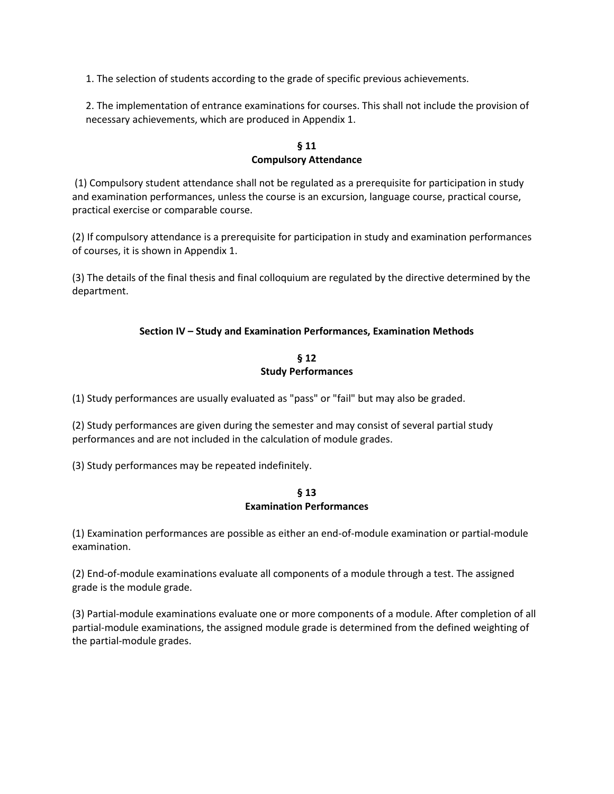1. The selection of students according to the grade of specific previous achievements.

2. The implementation of entrance examinations for courses. This shall not include the provision of necessary achievements, which are produced in Appendix 1.

## **§ 11 Compulsory Attendance**

(1) Compulsory student attendance shall not be regulated as a prerequisite for participation in study and examination performances, unless the course is an excursion, language course, practical course, practical exercise or comparable course.

(2) If compulsory attendance is a prerequisite for participation in study and examination performances of courses, it is shown in Appendix 1.

(3) The details of the final thesis and final colloquium are regulated by the directive determined by the department.

# **Section IV – Study and Examination Performances, Examination Methods**

## **§ 12 Study Performances**

(1) Study performances are usually evaluated as "pass" or "fail" but may also be graded.

(2) Study performances are given during the semester and may consist of several partial study performances and are not included in the calculation of module grades.

(3) Study performances may be repeated indefinitely.

#### **§ 13 Examination Performances**

(1) Examination performances are possible as either an end-of-module examination or partial-module examination.

(2) End-of-module examinations evaluate all components of a module through a test. The assigned grade is the module grade.

(3) Partial-module examinations evaluate one or more components of a module. After completion of all partial-module examinations, the assigned module grade is determined from the defined weighting of the partial-module grades.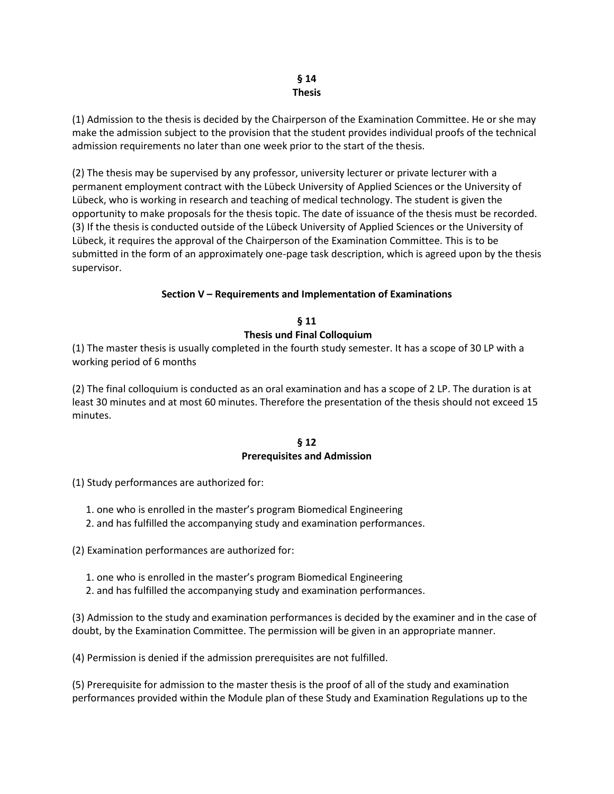## **§ 14 Thesis**

(1) Admission to the thesis is decided by the Chairperson of the Examination Committee. He or she may make the admission subject to the provision that the student provides individual proofs of the technical admission requirements no later than one week prior to the start of the thesis.

(2) The thesis may be supervised by any professor, university lecturer or private lecturer with a permanent employment contract with the Lübeck University of Applied Sciences or the University of Lübeck, who is working in research and teaching of medical technology. The student is given the opportunity to make proposals for the thesis topic. The date of issuance of the thesis must be recorded. (3) If the thesis is conducted outside of the Lübeck University of Applied Sciences or the University of Lübeck, it requires the approval of the Chairperson of the Examination Committee. This is to be submitted in the form of an approximately one-page task description, which is agreed upon by the thesis supervisor.

## **Section V – Requirements and Implementation of Examinations**

**§ 11 Thesis und Final Colloquium**

(1) The master thesis is usually completed in the fourth study semester. It has a scope of 30 LP with a working period of 6 months

(2) The final colloquium is conducted as an oral examination and has a scope of 2 LP. The duration is at least 30 minutes and at most 60 minutes. Therefore the presentation of the thesis should not exceed 15 minutes.

## **§ 12 Prerequisites and Admission**

(1) Study performances are authorized for:

- 1. one who is enrolled in the master's program Biomedical Engineering
- 2. and has fulfilled the accompanying study and examination performances.

(2) Examination performances are authorized for:

- 1. one who is enrolled in the master's program Biomedical Engineering
- 2. and has fulfilled the accompanying study and examination performances.

(3) Admission to the study and examination performances is decided by the examiner and in the case of doubt, by the Examination Committee. The permission will be given in an appropriate manner.

(4) Permission is denied if the admission prerequisites are not fulfilled.

(5) Prerequisite for admission to the master thesis is the proof of all of the study and examination performances provided within the Module plan of these Study and Examination Regulations up to the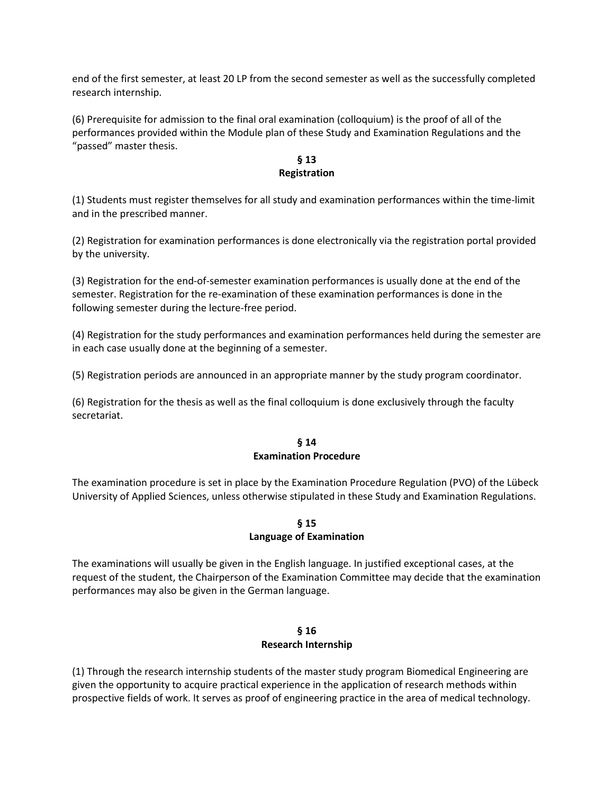end of the first semester, at least 20 LP from the second semester as well as the successfully completed research internship.

(6) Prerequisite for admission to the final oral examination (colloquium) is the proof of all of the performances provided within the Module plan of these Study and Examination Regulations and the "passed" master thesis.

## **§ 13 Registration**

(1) Students must register themselves for all study and examination performances within the time-limit and in the prescribed manner.

(2) Registration for examination performances is done electronically via the registration portal provided by the university.

(3) Registration for the end-of-semester examination performances is usually done at the end of the semester. Registration for the re-examination of these examination performances is done in the following semester during the lecture-free period.

(4) Registration for the study performances and examination performances held during the semester are in each case usually done at the beginning of a semester.

(5) Registration periods are announced in an appropriate manner by the study program coordinator.

(6) Registration for the thesis as well as the final colloquium is done exclusively through the faculty secretariat.

## **§ 14 Examination Procedure**

The examination procedure is set in place by the Examination Procedure Regulation (PVO) of the Lübeck University of Applied Sciences, unless otherwise stipulated in these Study and Examination Regulations.

# **§ 15 Language of Examination**

The examinations will usually be given in the English language. In justified exceptional cases, at the request of the student, the Chairperson of the Examination Committee may decide that the examination performances may also be given in the German language.

## **§ 16 Research Internship**

(1) Through the research internship students of the master study program Biomedical Engineering are given the opportunity to acquire practical experience in the application of research methods within prospective fields of work. It serves as proof of engineering practice in the area of medical technology.